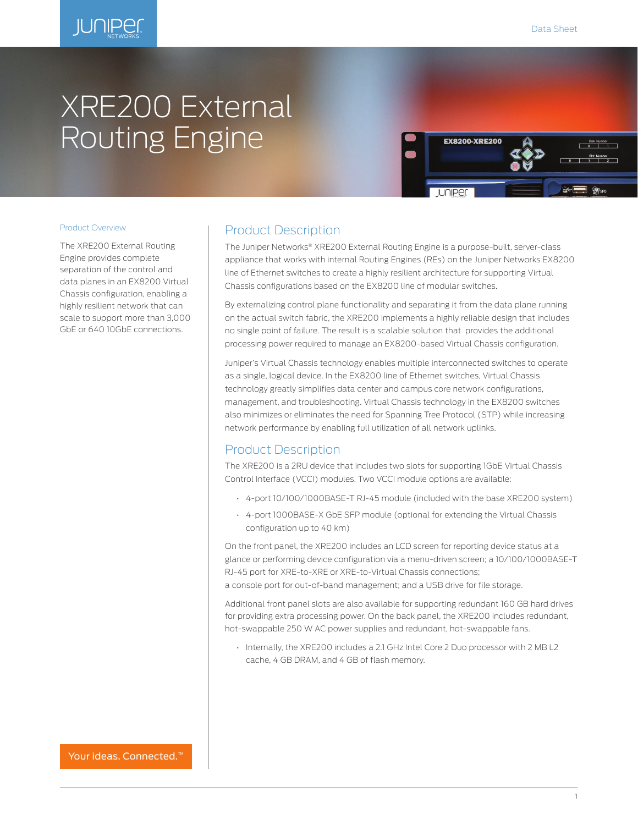

# XRE200 External Routing Engine



## Product Overview

The XRE200 External Routing Engine provides complete separation of the control and data planes in an EX8200 Virtual Chassis configuration, enabling a highly resilient network that can scale to support more than 3,000 GbE or 640 10GbE connections.

# Product Description

The Juniper Networks® XRE200 External Routing Engine is a purpose-built, server-class appliance that works with internal Routing Engines (REs) on the Juniper Networks EX8200 line of Ethernet switches to create a highly resilient architecture for supporting Virtual Chassis configurations based on the EX8200 line of modular switches.

By externalizing control plane functionality and separating it from the data plane running on the actual switch fabric, the XRE200 implements a highly reliable design that includes no single point of failure. The result is a scalable solution that provides the additional processing power required to manage an EX8200-based Virtual Chassis configuration.

Juniper's Virtual Chassis technology enables multiple interconnected switches to operate as a single, logical device. In the EX8200 line of Ethernet switches, Virtual Chassis technology greatly simplifies data center and campus core network configurations, management, and troubleshooting. Virtual Chassis technology in the EX8200 switches also minimizes or eliminates the need for Spanning Tree Protocol (STP) while increasing network performance by enabling full utilization of all network uplinks.

# Product Description

The XRE200 is a 2RU device that includes two slots for supporting 1GbE Virtual Chassis Control Interface (VCCI) modules. Two VCCI module options are available:

- 4-port 10/100/1000BASE-T RJ-45 module (included with the base XRE200 system)
- 4-port 1000BASE-X GbE SFP module (optional for extending the Virtual Chassis configuration up to 40 km)

On the front panel, the XRE200 includes an LCD screen for reporting device status at a glance or performing device configuration via a menu-driven screen; a 10/100/1000BASE-T RJ-45 port for XRE-to-XRE or XRE-to-Virtual Chassis connections;

a console port for out-of-band management; and a USB drive for file storage.

Additional front panel slots are also available for supporting redundant 160 GB hard drives for providing extra processing power. On the back panel, the XRE200 includes redundant, hot-swappable 250 W AC power supplies and redundant, hot-swappable fans.

• Internally, the XRE200 includes a 2.1 GHz Intel Core 2 Duo processor with 2 MB L2 cache, 4 GB DRAM, and 4 GB of flash memory.

Your ideas. Connected.<sup>™</sup>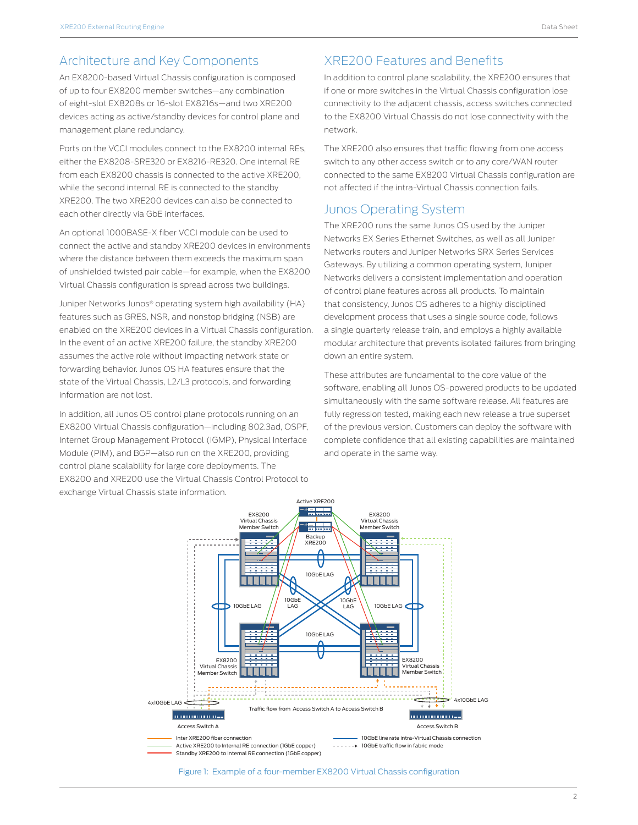# Architecture and Key Components

An EX8200-based Virtual Chassis configuration is composed of up to four EX8200 member switches—any combination of eight-slot EX8208s or 16-slot EX8216s—and two XRE200 devices acting as active/standby devices for control plane and management plane redundancy.

Ports on the VCCI modules connect to the EX8200 internal REs, either the EX8208-SRE320 or EX8216-RE320. One internal RE from each EX8200 chassis is connected to the active XRE200, while the second internal RE is connected to the standby XRE200. The two XRE200 devices can also be connected to each other directly via GbE interfaces.

An optional 1000BASE-X fiber VCCI module can be used to connect the active and standby XRE200 devices in environments where the distance between them exceeds the maximum span of unshielded twisted pair cable—for example, when the EX8200 Virtual Chassis configuration is spread across two buildings.

Juniper Networks Junos® operating system high availability (HA) features such as GRES, NSR, and nonstop bridging (NSB) are enabled on the XRE200 devices in a Virtual Chassis configuration. In the event of an active XRE200 failure, the standby XRE200 assumes the active role without impacting network state or forwarding behavior. Junos OS HA features ensure that the state of the Virtual Chassis, L2/L3 protocols, and forwarding information are not lost.

In addition, all Junos OS control plane protocols running on an EX8200 Virtual Chassis configuration—including 802.3ad, OSPF, Internet Group Management Protocol (IGMP), Physical Interface Module (PIM), and BGP—also run on the XRE200, providing control plane scalability for large core deployments. The EX8200 and XRE200 use the Virtual Chassis Control Protocol to exchange Virtual Chassis state information.

# XRE200 Features and Benefits

In addition to control plane scalability, the XRE200 ensures that if one or more switches in the Virtual Chassis configuration lose connectivity to the adjacent chassis, access switches connected to the EX8200 Virtual Chassis do not lose connectivity with the network.

The XRE200 also ensures that traffic flowing from one access switch to any other access switch or to any core/WAN router connected to the same EX8200 Virtual Chassis configuration are not affected if the intra-Virtual Chassis connection fails.

# Junos Operating System

The XRE200 runs the same Junos OS used by the Juniper Networks EX Series Ethernet Switches, as well as all Juniper Networks routers and Juniper Networks SRX Series Services Gateways. By utilizing a common operating system, Juniper Networks delivers a consistent implementation and operation of control plane features across all products. To maintain that consistency, Junos OS adheres to a highly disciplined development process that uses a single source code, follows a single quarterly release train, and employs a highly available modular architecture that prevents isolated failures from bringing down an entire system.

These attributes are fundamental to the core value of the software, enabling all Junos OS-powered products to be updated simultaneously with the same software release. All features are fully regression tested, making each new release a true superset of the previous version. Customers can deploy the software with complete confidence that all existing capabilities are maintained and operate in the same way.



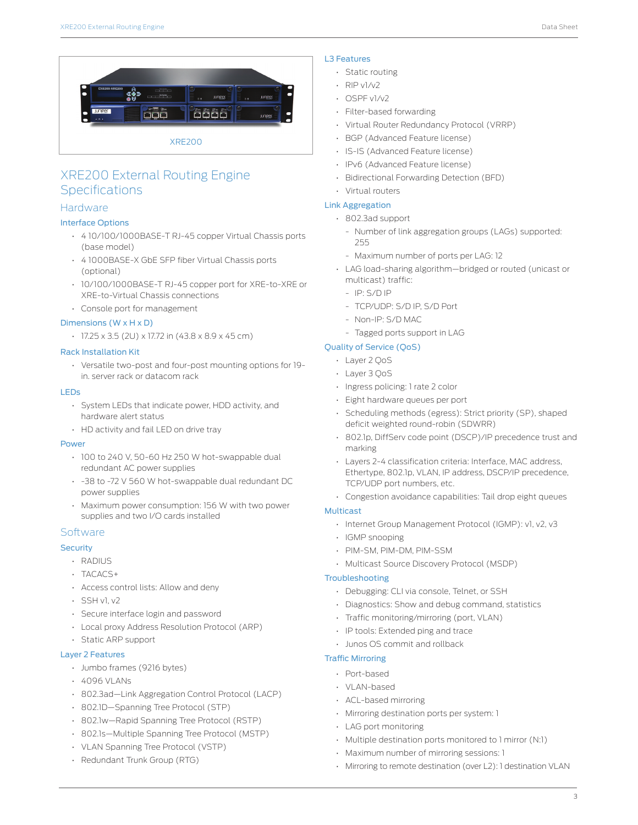

# XRE200 External Routing Engine **Specifications**

# **Hardware**

# Interface Options

- 4 10/100/1000BASE-T RJ-45 copper Virtual Chassis ports (base model)
- 4 1000BASE-X GbE SFP fiber Virtual Chassis ports (optional)
- 10/100/1000BASE-T RJ-45 copper port for XRE-to-XRE or XRE-to-Virtual Chassis connections
- Console port for management

## Dimensions (W x H x D)

• 17.25 x 3.5 (2U) x 17.72 in (43.8 x 8.9 x 45 cm)

### Rack Installation Kit

• Versatile two-post and four-post mounting options for 19 in. server rack or datacom rack

#### LEDs

- System LEDs that indicate power, HDD activity, and hardware alert status
- HD activity and fail LED on drive tray

#### Power

- 100 to 240 V, 50-60 Hz 250 W hot-swappable dual redundant AC power supplies
- -38 to -72 V 560 W hot-swappable dual redundant DC power supplies
- Maximum power consumption: 156 W with two power supplies and two I/O cards installed

## **Software**

# **Security**

- RADIUS
- TACACS+
- Access control lists: Allow and deny
- $\cdot$  SSH v1, v2
- Secure interface login and password
- Local proxy Address Resolution Protocol (ARP)
- Static ARP support

# Layer 2 Features

- Jumbo frames (9216 bytes)
- 4096 VLANs
- 802.3ad—Link Aggregation Control Protocol (LACP)
- 802.1D—Spanning Tree Protocol (STP)
- 802.1w—Rapid Spanning Tree Protocol (RSTP)
- 802.1s—Multiple Spanning Tree Protocol (MSTP)
- VLAN Spanning Tree Protocol (VSTP)
- Redundant Trunk Group (RTG)

# L3 Features

- Static routing
- $\cdot$  RIP v1/v2
- OSPF v1/v2
- Filter-based forwarding
- Virtual Router Redundancy Protocol (VRRP)
- BGP (Advanced Feature license)
- IS-IS (Advanced Feature license)
- IPv6 (Advanced Feature license)
- Bidirectional Forwarding Detection (BFD)
- Virtual routers

# Link Aggregation

- 802.3ad support
	- Number of link aggregation groups (LAGs) supported: 255
	- Maximum number of ports per LAG: 12
- LAG load-sharing algorithm—bridged or routed (unicast or multicast) traffic:
	- IP: S/D IP
	- TCP/UDP: S/D IP, S/D Port
	- Non-IP: S/D MAC
	- Tagged ports support in LAG

# Quality of Service (QoS)

- Layer 2 QoS
- Layer 3 QoS
- Ingress policing: 1 rate 2 color
- Eight hardware queues per port
- Scheduling methods (egress): Strict priority (SP), shaped deficit weighted round-robin (SDWRR)
- 802.1p, DiffServ code point (DSCP)/IP precedence trust and marking
- Layers 2-4 classification criteria: Interface, MAC address, Ethertype, 802.1p, VLAN, IP address, DSCP/IP precedence, TCP/UDP port numbers, etc.
- Congestion avoidance capabilities: Tail drop eight queues

# Multicast

- Internet Group Management Protocol (IGMP): v1, v2, v3
- IGMP snooping
- PIM-SM, PIM-DM, PIM-SSM
- Multicast Source Discovery Protocol (MSDP)

#### Troubleshooting

- Debugging: CLI via console, Telnet, or SSH
- Diagnostics: Show and debug command, statistics
- Traffic monitoring/mirroring (port, VLAN)
- IP tools: Extended ping and trace
- Junos OS commit and rollback

## Traffic Mirroring

- Port-based
- VLAN-based
- ACL-based mirroring
- Mirroring destination ports per system: 1
- LAG port monitoring
- Multiple destination ports monitored to 1 mirror (N:1)
- Maximum number of mirroring sessions: 1
- Mirroring to remote destination (over L2): 1 destination VLAN